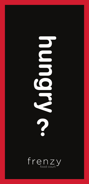P

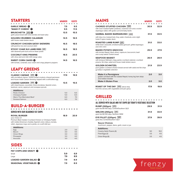| <b>STARTERS</b>                                                                             | <b>MEMBERS</b> | <b>GUESTS</b> |
|---------------------------------------------------------------------------------------------|----------------|---------------|
| <b>GARLIC BREAD @</b><br>*MAKE IT CHEESY Ø                                                  | 7.5<br>9.5     | 9.5<br>11.5   |
| <b>BRUSCHETTA GFR W</b><br>garlic pizza bread with roma tomato and basil salsa              | 13.5           | 15.5          |
| <b>GOLDEN CRUMBED CALAMARI</b><br>with house made tartare sauce                             | 14.5           | 16.5          |
| <b>CRUNCHY CHICKEN SATAY SKEWERS</b><br>with jasmine rice and coconut relish                | 16.5           | 18.5          |
| <b>STICKY CHAR SUI LAMB RIBS GFR</b><br>with steamed pork buns and an Asian pickle          | 16.5           | 18.5          |
| <b>COCONUT KING PRAWNS</b><br>with citrus aioli and mild chilli mango salsa                 | 18.5           | 20.5          |
| <b>SWEET CORN CAKES Ø</b><br>with tomato, coriander, sour cream and crispy jalapeno poppers | 14.5           | 16.5          |

## leafy greens

| <b>CLASSIC CAESAR GFR W</b><br>with cos lettuce, bacon, Turkish bread croutons, shaved parmesan<br>and house made Caesar dressing, topped with a soft-boiled egg | 17.9                     | 19.9                    |
|------------------------------------------------------------------------------------------------------------------------------------------------------------------|--------------------------|-------------------------|
| <b>LOADED GARDEN GFR W</b><br>with mixed leaves, cucumber, cherry tomatoes, Spanish onion,<br>beetroot, carrot, capsicum and snowpea sprouts                     | 13.5                     | 15.5                    |
| <b>Additions:</b><br>Pesto Chicken<br>Chickpea Falafel<br>Warm Thai Marinated Beef<br>Smoked Salmon                                                              | 5.0<br>5.0<br>6.0<br>6.0 | 6.0<br>6.0<br>7.0<br>70 |
|                                                                                                                                                                  |                          |                         |

## BUILD-A-BURGER

| SERVED WITH OUR SEASONED FAT CHIPS                                                                                                                                                                                            |      |      |
|-------------------------------------------------------------------------------------------------------------------------------------------------------------------------------------------------------------------------------|------|------|
| <b>ROYAL BURGER</b><br>your choice of:<br>Premium Beef, Golden Crumbed Chicken or Chickpea Falafel<br>with melted American cheddar, Spanish onion, lettuce, tomato,<br>relish, Japanese mayo and a pickle, on a soft milk bun | 18.9 | 20.9 |
| <b>Additions:</b>                                                                                                                                                                                                             |      |      |

| Auuluviis.  |     |     |
|-------------|-----|-----|
| Egg         | 2.0 | 3.0 |
| Bacon       | 3.0 | 4.0 |
| Onion Rings | 3.0 | 4.0 |
| Pineapple   | 3.0 | 4.0 |
| Avocado     | 3.0 | 4.0 |

## SIDES

| FAT CHIPS AND GRAVY <b>W</b> |     |     |
|------------------------------|-----|-----|
| Small                        | 5.9 | 6.9 |
| Large                        | 7.9 | 8.9 |
| <b>LOADED GARDEN SALAD @</b> | 7.9 | 8.9 |
| <b>SEASONAL VEGETABLES ©</b> | 79  | 8.9 |

| <b>MEMBERS</b> | <b>GUESTS</b> | <b>MAINS</b>                                                                                                                                           | <b>MEMBERS</b> | <b>GUESTS</b> |
|----------------|---------------|--------------------------------------------------------------------------------------------------------------------------------------------------------|----------------|---------------|
| 7.5<br>9.5     | 9.5<br>11.5   | <b>CHORIZO STUFFED CHICKEN GFR</b><br>with oven-roasted kipfler potatoes, creamed corn and a rocket<br>asparagus salad, with goats curd and baby beets | 30.9           | 32.9          |
| 13.5           | 15.5          | <b>SAMBAL BAKED BARRAMUNDI GFR</b>                                                                                                                     | 31.5           | 33.5          |
| 14.5           | 16.5          | with lotus rice, braised bok choy, water chestnuts, and a light<br>hoisin 5 spice master stock                                                         |                |               |
| 16.5           | 18.5          | <b>ROASTED LAMB RUMP GFR</b><br>white bean cassoulet, smoked bubba ganoush, grilled asparagus<br>and chim chirri                                       | 31.0           | 33.0          |
| 16.5<br>18.5   | 18.5<br>20.5  | <b>BAKED POTATO GNOCCHI</b><br>with tomato Napoli, black olives, capsicum, bocconcini, basil<br>and crusty baked Turkish bread                         | 25.9           | 27.9          |
| 14.5           | 16.5          | <b>SEAFOOD BASKET</b><br>with tempura flathead, crispy panko crumbed calamari, crumbed<br>prawns, fat chips, salad and house made tartare sauce        | 26.9           | 28.9          |
|                |               | <b>GOLDEN SCHNITZEL</b><br>pure golden crumbed chicken breast served with salad and fat chips<br>or today's vegetable selection                        | 21.9           | 23.9          |
| 17.9           | 19.9          | Make it a Parmigiana<br>golden schnitzel with fire roasted Napoli, honey leg ham strips<br>and melted cheddar                                          | 2.0            | 3.0           |
| 13.5           | 15.5          | <b>Make it Gluten Free</b>                                                                                                                             | 2.0            | 3.0           |
|                |               | <b>ROAST OF THE DAY GFR</b><br>(Dinner Only)<br>from the carvery with vegetables and pan gravy                                                         | 17.9           | 19.9          |

## GRILLED

| ALL SERVED WITH SALAD AND FAT CHIPS OR TODAY'S VEGETABLE SELECTION   |      |      |  |
|----------------------------------------------------------------------|------|------|--|
| $RUMP(300gm)$ GFR<br>grain fed 80-100 days, Central/Southern QLD     | 29.9 | 31.9 |  |
| SIRLOIN (250gm) GFR<br>grain fed 80-100 days, Northern NSW           | 31.9 | 33.9 |  |
| EYE FILLET (220gm) GFR<br>grass fed, Central/Southern QLD            | 37.9 | 39.9 |  |
| <b>Sauce Choices</b><br>mushroom, pepper, diane, garlic cream or jus |      |      |  |
| <b>Additions:</b>                                                    |      |      |  |
| Creamy Garlic Prawns (4)                                             | 9.0  | 10.0 |  |
| Fried Eggs (2)                                                       | 3.5  | 4.5  |  |
| Onion Rings (6)                                                      | 3.5  | 4.5  |  |